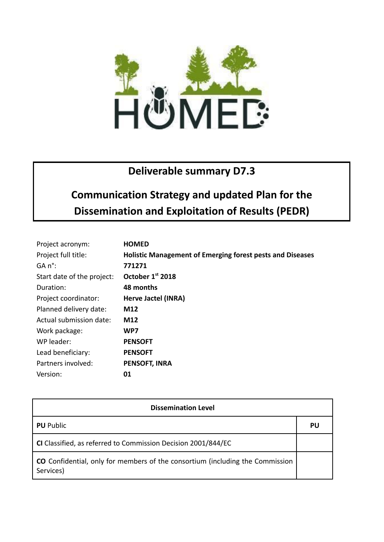

## **Deliverable summary D7.3**

## **Communication Strategy and updated Plan for the Dissemination and Exploitation of Results (PEDR)**

| Project acronym:           | <b>HOMED</b>                                                     |
|----------------------------|------------------------------------------------------------------|
| Project full title:        | <b>Holistic Management of Emerging forest pests and Diseases</b> |
| GA n°:                     | 771271                                                           |
| Start date of the project: | October 1st 2018                                                 |
| Duration:                  | 48 months                                                        |
| Project coordinator:       | Herve Jactel (INRA)                                              |
| Planned delivery date:     | M12                                                              |
| Actual submission date:    | M12                                                              |
| Work package:              | WP7                                                              |
| WP leader:                 | <b>PENSOFT</b>                                                   |
| Lead beneficiary:          | <b>PENSOFT</b>                                                   |
| Partners involved:         | <b>PENSOFT, INRA</b>                                             |
| Version:                   | 01                                                               |

| <b>Dissemination Level</b>                                                                 |    |  |
|--------------------------------------------------------------------------------------------|----|--|
| <b>PU</b> Public                                                                           | PU |  |
| CI Classified, as referred to Commission Decision 2001/844/EC                              |    |  |
| CO Confidential, only for members of the consortium (including the Commission<br>Services) |    |  |